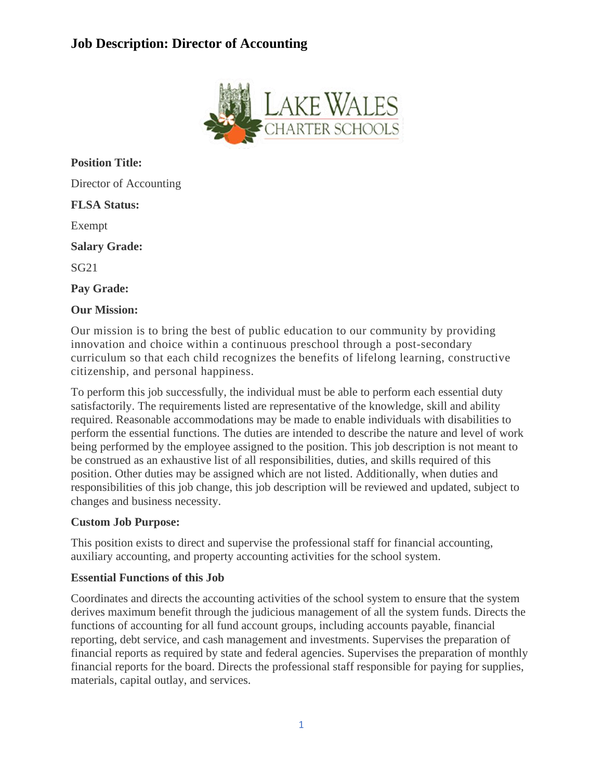# **Job Description: Director of Accounting**



**Position Title:** Director of Accounting **FLSA Status:** Exempt **Salary Grade:** SG21 **Pay Grade: Our Mission:**

Our mission is to bring the best of public education to our community by providing innovation and choice within a continuous preschool through a post-secondary curriculum so that each child recognizes the benefits of lifelong learning, constructive citizenship, and personal happiness.

To perform this job successfully, the individual must be able to perform each essential duty satisfactorily. The requirements listed are representative of the knowledge, skill and ability required. Reasonable accommodations may be made to enable individuals with disabilities to perform the essential functions. The duties are intended to describe the nature and level of work being performed by the employee assigned to the position. This job description is not meant to be construed as an exhaustive list of all responsibilities, duties, and skills required of this position. Other duties may be assigned which are not listed. Additionally, when duties and responsibilities of this job change, this job description will be reviewed and updated, subject to changes and business necessity.

#### **Custom Job Purpose:**

This position exists to direct and supervise the professional staff for financial accounting, auxiliary accounting, and property accounting activities for the school system.

#### **Essential Functions of this Job**

Coordinates and directs the accounting activities of the school system to ensure that the system derives maximum benefit through the judicious management of all the system funds. Directs the functions of accounting for all fund account groups, including accounts payable, financial reporting, debt service, and cash management and investments. Supervises the preparation of financial reports as required by state and federal agencies. Supervises the preparation of monthly financial reports for the board. Directs the professional staff responsible for paying for supplies, materials, capital outlay, and services.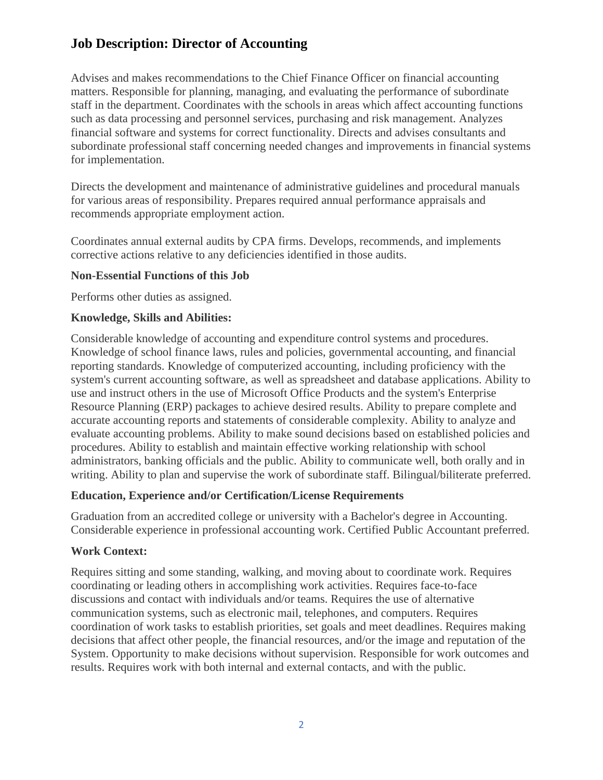# **Job Description: Director of Accounting**

Advises and makes recommendations to the Chief Finance Officer on financial accounting matters. Responsible for planning, managing, and evaluating the performance of subordinate staff in the department. Coordinates with the schools in areas which affect accounting functions such as data processing and personnel services, purchasing and risk management. Analyzes financial software and systems for correct functionality. Directs and advises consultants and subordinate professional staff concerning needed changes and improvements in financial systems for implementation.

Directs the development and maintenance of administrative guidelines and procedural manuals for various areas of responsibility. Prepares required annual performance appraisals and recommends appropriate employment action.

Coordinates annual external audits by CPA firms. Develops, recommends, and implements corrective actions relative to any deficiencies identified in those audits.

#### **Non-Essential Functions of this Job**

Performs other duties as assigned.

#### **Knowledge, Skills and Abilities:**

Considerable knowledge of accounting and expenditure control systems and procedures. Knowledge of school finance laws, rules and policies, governmental accounting, and financial reporting standards. Knowledge of computerized accounting, including proficiency with the system's current accounting software, as well as spreadsheet and database applications. Ability to use and instruct others in the use of Microsoft Office Products and the system's Enterprise Resource Planning (ERP) packages to achieve desired results. Ability to prepare complete and accurate accounting reports and statements of considerable complexity. Ability to analyze and evaluate accounting problems. Ability to make sound decisions based on established policies and procedures. Ability to establish and maintain effective working relationship with school administrators, banking officials and the public. Ability to communicate well, both orally and in writing. Ability to plan and supervise the work of subordinate staff. Bilingual/biliterate preferred.

### **Education, Experience and/or Certification/License Requirements**

Graduation from an accredited college or university with a Bachelor's degree in Accounting. Considerable experience in professional accounting work. Certified Public Accountant preferred.

### **Work Context:**

Requires sitting and some standing, walking, and moving about to coordinate work. Requires coordinating or leading others in accomplishing work activities. Requires face-to-face discussions and contact with individuals and/or teams. Requires the use of alternative communication systems, such as electronic mail, telephones, and computers. Requires coordination of work tasks to establish priorities, set goals and meet deadlines. Requires making decisions that affect other people, the financial resources, and/or the image and reputation of the System. Opportunity to make decisions without supervision. Responsible for work outcomes and results. Requires work with both internal and external contacts, and with the public.